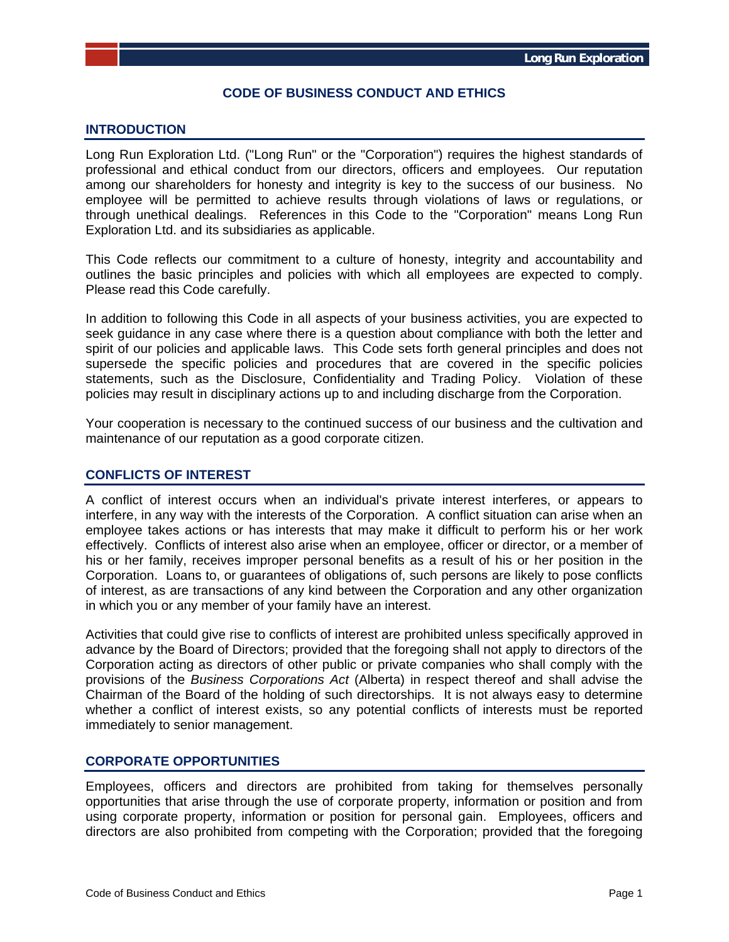# **CODE OF BUSINESS CONDUCT AND ETHICS**

#### **INTRODUCTION**

Long Run Exploration Ltd. ("Long Run" or the "Corporation") requires the highest standards of professional and ethical conduct from our directors, officers and employees. Our reputation among our shareholders for honesty and integrity is key to the success of our business. No employee will be permitted to achieve results through violations of laws or regulations, or through unethical dealings. References in this Code to the "Corporation" means Long Run Exploration Ltd. and its subsidiaries as applicable.

This Code reflects our commitment to a culture of honesty, integrity and accountability and outlines the basic principles and policies with which all employees are expected to comply. Please read this Code carefully.

In addition to following this Code in all aspects of your business activities, you are expected to seek guidance in any case where there is a question about compliance with both the letter and spirit of our policies and applicable laws. This Code sets forth general principles and does not supersede the specific policies and procedures that are covered in the specific policies statements, such as the Disclosure, Confidentiality and Trading Policy. Violation of these policies may result in disciplinary actions up to and including discharge from the Corporation.

Your cooperation is necessary to the continued success of our business and the cultivation and maintenance of our reputation as a good corporate citizen.

#### **CONFLICTS OF INTEREST**

A conflict of interest occurs when an individual's private interest interferes, or appears to interfere, in any way with the interests of the Corporation. A conflict situation can arise when an employee takes actions or has interests that may make it difficult to perform his or her work effectively. Conflicts of interest also arise when an employee, officer or director, or a member of his or her family, receives improper personal benefits as a result of his or her position in the Corporation. Loans to, or guarantees of obligations of, such persons are likely to pose conflicts of interest, as are transactions of any kind between the Corporation and any other organization in which you or any member of your family have an interest.

Activities that could give rise to conflicts of interest are prohibited unless specifically approved in advance by the Board of Directors; provided that the foregoing shall not apply to directors of the Corporation acting as directors of other public or private companies who shall comply with the provisions of the *Business Corporations Act* (Alberta) in respect thereof and shall advise the Chairman of the Board of the holding of such directorships. It is not always easy to determine whether a conflict of interest exists, so any potential conflicts of interests must be reported immediately to senior management.

## **CORPORATE OPPORTUNITIES**

Employees, officers and directors are prohibited from taking for themselves personally opportunities that arise through the use of corporate property, information or position and from using corporate property, information or position for personal gain. Employees, officers and directors are also prohibited from competing with the Corporation; provided that the foregoing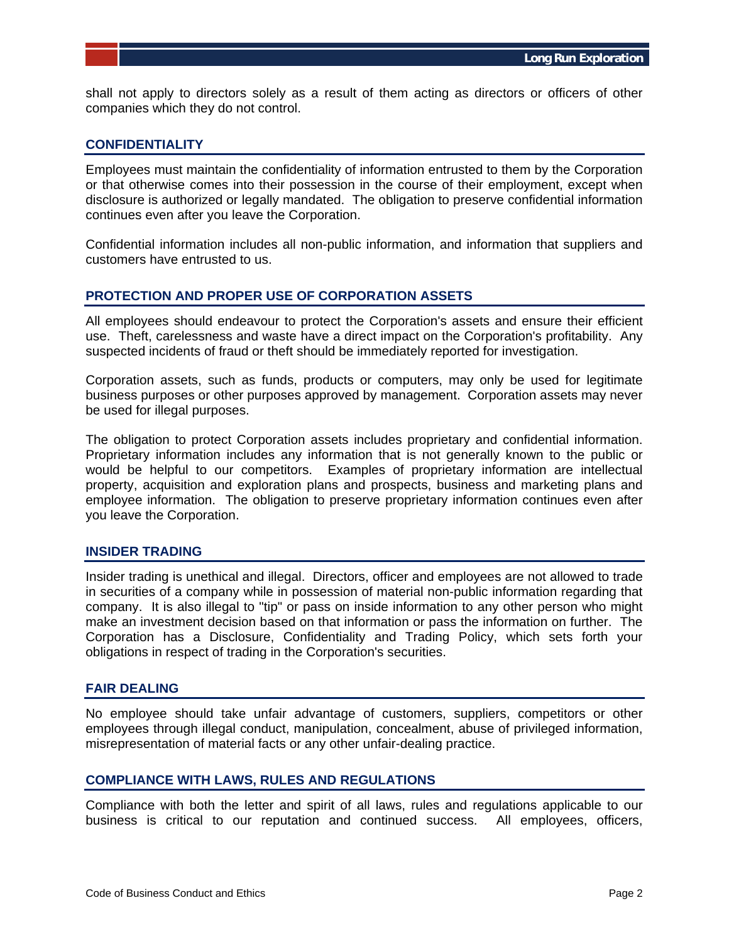shall not apply to directors solely as a result of them acting as directors or officers of other companies which they do not control.

#### **CONFIDENTIALITY**

Employees must maintain the confidentiality of information entrusted to them by the Corporation or that otherwise comes into their possession in the course of their employment, except when disclosure is authorized or legally mandated. The obligation to preserve confidential information continues even after you leave the Corporation.

Confidential information includes all non-public information, and information that suppliers and customers have entrusted to us.

## **PROTECTION AND PROPER USE OF CORPORATION ASSETS**

All employees should endeavour to protect the Corporation's assets and ensure their efficient use. Theft, carelessness and waste have a direct impact on the Corporation's profitability. Any suspected incidents of fraud or theft should be immediately reported for investigation.

Corporation assets, such as funds, products or computers, may only be used for legitimate business purposes or other purposes approved by management. Corporation assets may never be used for illegal purposes.

The obligation to protect Corporation assets includes proprietary and confidential information. Proprietary information includes any information that is not generally known to the public or would be helpful to our competitors. Examples of proprietary information are intellectual property, acquisition and exploration plans and prospects, business and marketing plans and employee information. The obligation to preserve proprietary information continues even after you leave the Corporation.

## **INSIDER TRADING**

Insider trading is unethical and illegal. Directors, officer and employees are not allowed to trade in securities of a company while in possession of material non-public information regarding that company. It is also illegal to "tip" or pass on inside information to any other person who might make an investment decision based on that information or pass the information on further. The Corporation has a Disclosure, Confidentiality and Trading Policy, which sets forth your obligations in respect of trading in the Corporation's securities.

#### **FAIR DEALING**

No employee should take unfair advantage of customers, suppliers, competitors or other employees through illegal conduct, manipulation, concealment, abuse of privileged information, misrepresentation of material facts or any other unfair-dealing practice.

## **COMPLIANCE WITH LAWS, RULES AND REGULATIONS**

Compliance with both the letter and spirit of all laws, rules and regulations applicable to our business is critical to our reputation and continued success. All employees, officers,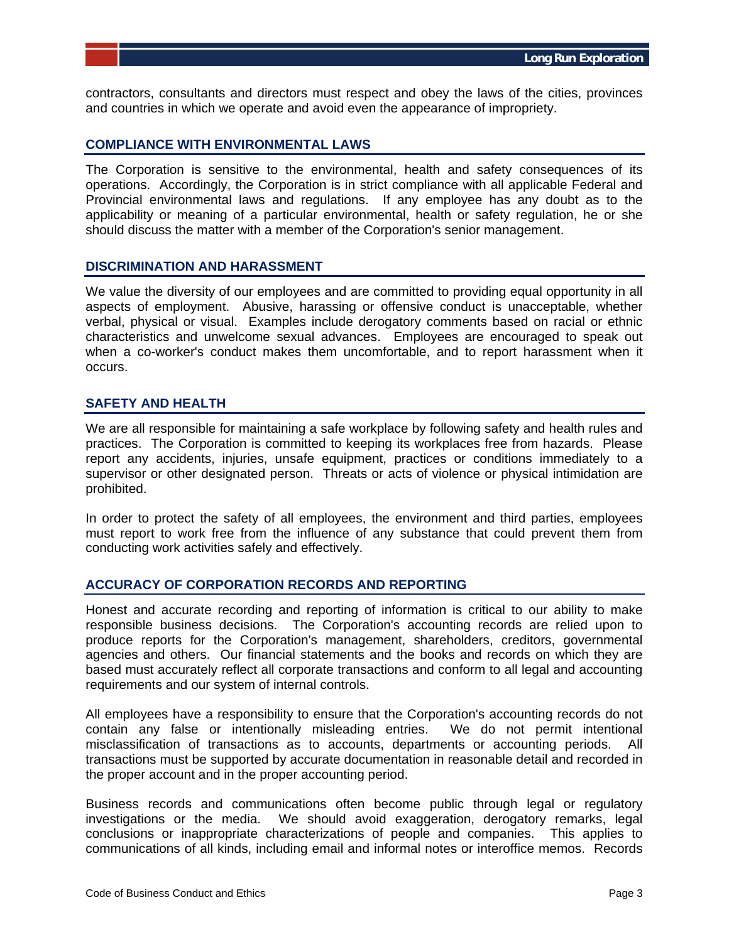contractors, consultants and directors must respect and obey the laws of the cities, provinces and countries in which we operate and avoid even the appearance of impropriety.

#### **COMPLIANCE WITH ENVIRONMENTAL LAWS**

The Corporation is sensitive to the environmental, health and safety consequences of its operations. Accordingly, the Corporation is in strict compliance with all applicable Federal and Provincial environmental laws and regulations. If any employee has any doubt as to the applicability or meaning of a particular environmental, health or safety regulation, he or she should discuss the matter with a member of the Corporation's senior management.

#### **DISCRIMINATION AND HARASSMENT**

We value the diversity of our employees and are committed to providing equal opportunity in all aspects of employment. Abusive, harassing or offensive conduct is unacceptable, whether verbal, physical or visual. Examples include derogatory comments based on racial or ethnic characteristics and unwelcome sexual advances. Employees are encouraged to speak out when a co-worker's conduct makes them uncomfortable, and to report harassment when it occurs.

#### **SAFETY AND HEALTH**

We are all responsible for maintaining a safe workplace by following safety and health rules and practices. The Corporation is committed to keeping its workplaces free from hazards. Please report any accidents, injuries, unsafe equipment, practices or conditions immediately to a supervisor or other designated person. Threats or acts of violence or physical intimidation are prohibited.

In order to protect the safety of all employees, the environment and third parties, employees must report to work free from the influence of any substance that could prevent them from conducting work activities safely and effectively.

## **ACCURACY OF CORPORATION RECORDS AND REPORTING**

Honest and accurate recording and reporting of information is critical to our ability to make responsible business decisions. The Corporation's accounting records are relied upon to produce reports for the Corporation's management, shareholders, creditors, governmental agencies and others. Our financial statements and the books and records on which they are based must accurately reflect all corporate transactions and conform to all legal and accounting requirements and our system of internal controls.

All employees have a responsibility to ensure that the Corporation's accounting records do not contain any false or intentionally misleading entries. We do not permit intentional misclassification of transactions as to accounts, departments or accounting periods. All transactions must be supported by accurate documentation in reasonable detail and recorded in the proper account and in the proper accounting period.

Business records and communications often become public through legal or regulatory investigations or the media. We should avoid exaggeration, derogatory remarks, legal conclusions or inappropriate characterizations of people and companies. This applies to communications of all kinds, including email and informal notes or interoffice memos. Records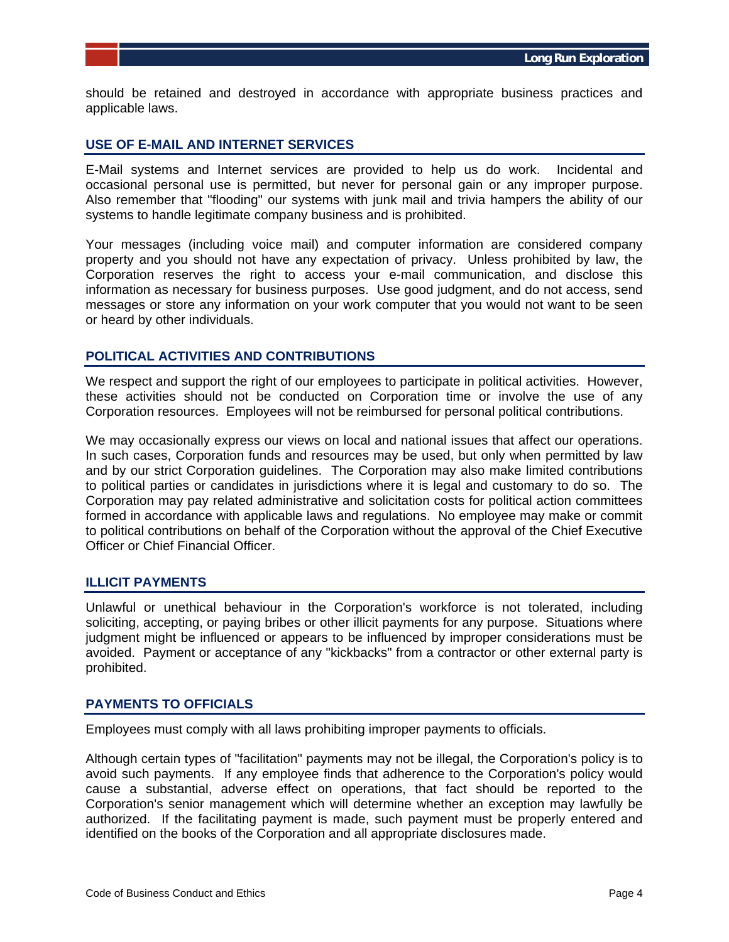should be retained and destroyed in accordance with appropriate business practices and applicable laws.

## **USE OF E-MAIL AND INTERNET SERVICES**

E-Mail systems and Internet services are provided to help us do work. Incidental and occasional personal use is permitted, but never for personal gain or any improper purpose. Also remember that "flooding" our systems with junk mail and trivia hampers the ability of our systems to handle legitimate company business and is prohibited.

Your messages (including voice mail) and computer information are considered company property and you should not have any expectation of privacy. Unless prohibited by law, the Corporation reserves the right to access your e-mail communication, and disclose this information as necessary for business purposes. Use good judgment, and do not access, send messages or store any information on your work computer that you would not want to be seen or heard by other individuals.

## **POLITICAL ACTIVITIES AND CONTRIBUTIONS**

We respect and support the right of our employees to participate in political activities. However, these activities should not be conducted on Corporation time or involve the use of any Corporation resources. Employees will not be reimbursed for personal political contributions.

We may occasionally express our views on local and national issues that affect our operations. In such cases, Corporation funds and resources may be used, but only when permitted by law and by our strict Corporation guidelines. The Corporation may also make limited contributions to political parties or candidates in jurisdictions where it is legal and customary to do so. The Corporation may pay related administrative and solicitation costs for political action committees formed in accordance with applicable laws and regulations. No employee may make or commit to political contributions on behalf of the Corporation without the approval of the Chief Executive Officer or Chief Financial Officer.

## **ILLICIT PAYMENTS**

Unlawful or unethical behaviour in the Corporation's workforce is not tolerated, including soliciting, accepting, or paying bribes or other illicit payments for any purpose. Situations where judgment might be influenced or appears to be influenced by improper considerations must be avoided. Payment or acceptance of any "kickbacks" from a contractor or other external party is prohibited.

#### **PAYMENTS TO OFFICIALS**

Employees must comply with all laws prohibiting improper payments to officials.

Although certain types of "facilitation" payments may not be illegal, the Corporation's policy is to avoid such payments. If any employee finds that adherence to the Corporation's policy would cause a substantial, adverse effect on operations, that fact should be reported to the Corporation's senior management which will determine whether an exception may lawfully be authorized. If the facilitating payment is made, such payment must be properly entered and identified on the books of the Corporation and all appropriate disclosures made.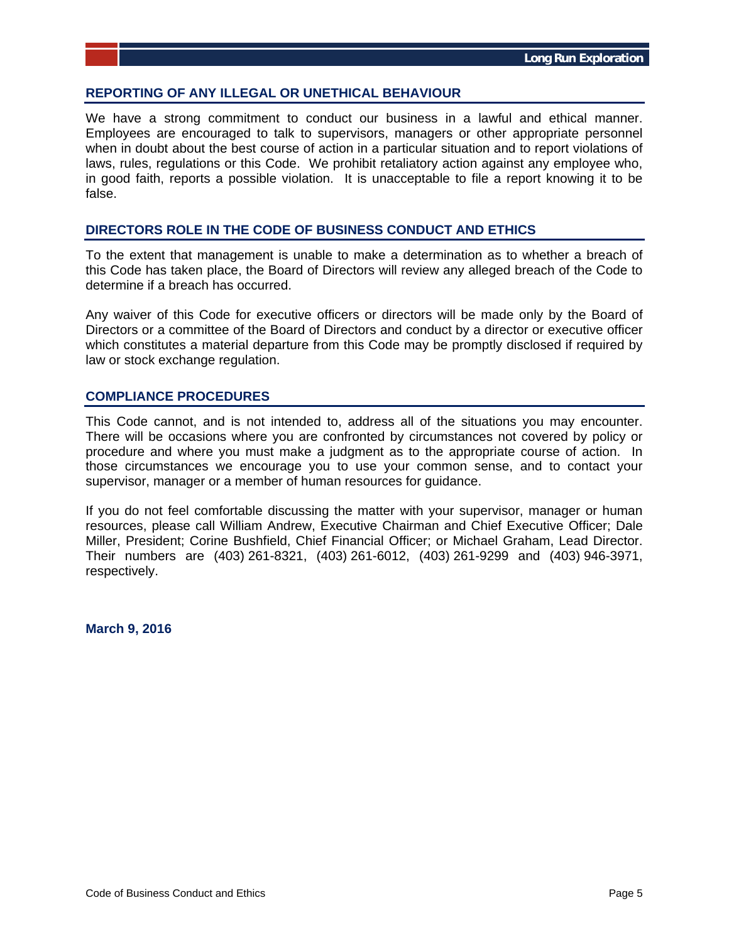#### **REPORTING OF ANY ILLEGAL OR UNETHICAL BEHAVIOUR**

We have a strong commitment to conduct our business in a lawful and ethical manner. Employees are encouraged to talk to supervisors, managers or other appropriate personnel when in doubt about the best course of action in a particular situation and to report violations of laws, rules, regulations or this Code. We prohibit retaliatory action against any employee who, in good faith, reports a possible violation. It is unacceptable to file a report knowing it to be false.

#### **DIRECTORS ROLE IN THE CODE OF BUSINESS CONDUCT AND ETHICS**

To the extent that management is unable to make a determination as to whether a breach of this Code has taken place, the Board of Directors will review any alleged breach of the Code to determine if a breach has occurred.

Any waiver of this Code for executive officers or directors will be made only by the Board of Directors or a committee of the Board of Directors and conduct by a director or executive officer which constitutes a material departure from this Code may be promptly disclosed if required by law or stock exchange regulation.

## **COMPLIANCE PROCEDURES**

This Code cannot, and is not intended to, address all of the situations you may encounter. There will be occasions where you are confronted by circumstances not covered by policy or procedure and where you must make a judgment as to the appropriate course of action. In those circumstances we encourage you to use your common sense, and to contact your supervisor, manager or a member of human resources for guidance.

If you do not feel comfortable discussing the matter with your supervisor, manager or human resources, please call William Andrew, Executive Chairman and Chief Executive Officer; Dale Miller, President; Corine Bushfield, Chief Financial Officer; or Michael Graham, Lead Director. Their numbers are (403) 261-8321, (403) 261-6012, (403) 261-9299 and (403) 946-3971, respectively.

**March 9, 2016**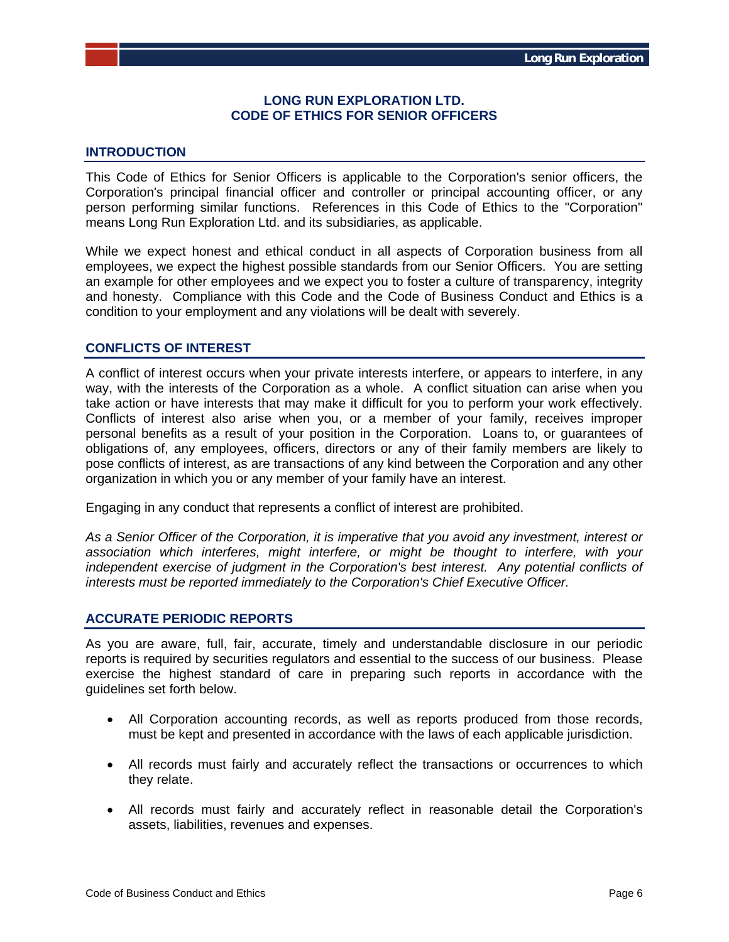## **LONG RUN EXPLORATION LTD. CODE OF ETHICS FOR SENIOR OFFICERS**

# **INTRODUCTION**

This Code of Ethics for Senior Officers is applicable to the Corporation's senior officers, the Corporation's principal financial officer and controller or principal accounting officer, or any person performing similar functions. References in this Code of Ethics to the "Corporation" means Long Run Exploration Ltd. and its subsidiaries, as applicable.

While we expect honest and ethical conduct in all aspects of Corporation business from all employees, we expect the highest possible standards from our Senior Officers. You are setting an example for other employees and we expect you to foster a culture of transparency, integrity and honesty. Compliance with this Code and the Code of Business Conduct and Ethics is a condition to your employment and any violations will be dealt with severely.

## **CONFLICTS OF INTEREST**

A conflict of interest occurs when your private interests interfere, or appears to interfere, in any way, with the interests of the Corporation as a whole. A conflict situation can arise when you take action or have interests that may make it difficult for you to perform your work effectively. Conflicts of interest also arise when you, or a member of your family, receives improper personal benefits as a result of your position in the Corporation. Loans to, or guarantees of obligations of, any employees, officers, directors or any of their family members are likely to pose conflicts of interest, as are transactions of any kind between the Corporation and any other organization in which you or any member of your family have an interest.

Engaging in any conduct that represents a conflict of interest are prohibited.

*As a Senior Officer of the Corporation, it is imperative that you avoid any investment, interest or association which interferes, might interfere, or might be thought to interfere, with your independent exercise of judgment in the Corporation's best interest. Any potential conflicts of interests must be reported immediately to the Corporation's Chief Executive Officer.* 

## **ACCURATE PERIODIC REPORTS**

As you are aware, full, fair, accurate, timely and understandable disclosure in our periodic reports is required by securities regulators and essential to the success of our business. Please exercise the highest standard of care in preparing such reports in accordance with the guidelines set forth below.

- All Corporation accounting records, as well as reports produced from those records, must be kept and presented in accordance with the laws of each applicable jurisdiction.
- All records must fairly and accurately reflect the transactions or occurrences to which they relate.
- All records must fairly and accurately reflect in reasonable detail the Corporation's assets, liabilities, revenues and expenses.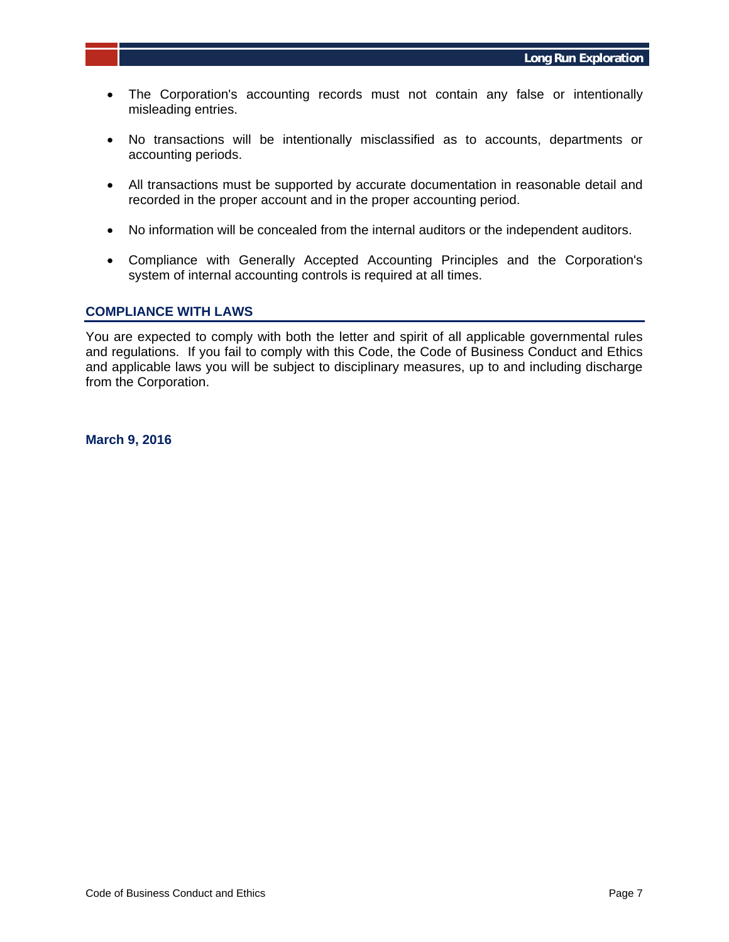- The Corporation's accounting records must not contain any false or intentionally misleading entries.
- No transactions will be intentionally misclassified as to accounts, departments or accounting periods.
- All transactions must be supported by accurate documentation in reasonable detail and recorded in the proper account and in the proper accounting period.
- No information will be concealed from the internal auditors or the independent auditors.
- Compliance with Generally Accepted Accounting Principles and the Corporation's system of internal accounting controls is required at all times.

#### **COMPLIANCE WITH LAWS**

You are expected to comply with both the letter and spirit of all applicable governmental rules and regulations. If you fail to comply with this Code, the Code of Business Conduct and Ethics and applicable laws you will be subject to disciplinary measures, up to and including discharge from the Corporation.

**March 9, 2016**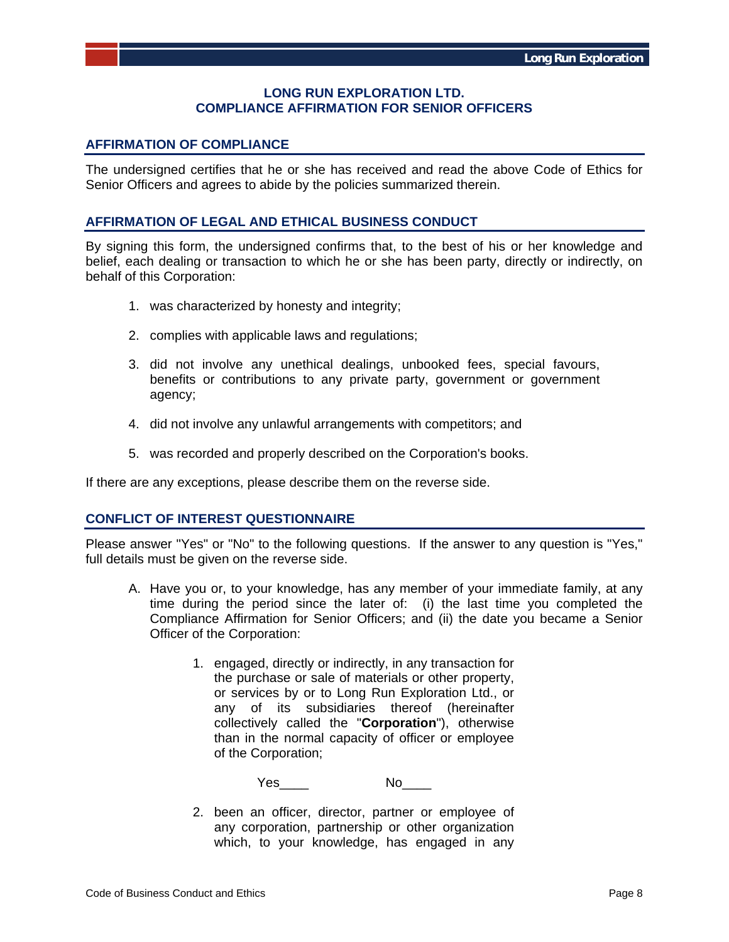## **LONG RUN EXPLORATION LTD. COMPLIANCE AFFIRMATION FOR SENIOR OFFICERS**

## **AFFIRMATION OF COMPLIANCE**

The undersigned certifies that he or she has received and read the above Code of Ethics for Senior Officers and agrees to abide by the policies summarized therein.

#### **AFFIRMATION OF LEGAL AND ETHICAL BUSINESS CONDUCT**

By signing this form, the undersigned confirms that, to the best of his or her knowledge and belief, each dealing or transaction to which he or she has been party, directly or indirectly, on behalf of this Corporation:

- 1. was characterized by honesty and integrity;
- 2. complies with applicable laws and regulations;
- 3. did not involve any unethical dealings, unbooked fees, special favours, benefits or contributions to any private party, government or government agency;
- 4. did not involve any unlawful arrangements with competitors; and
- 5. was recorded and properly described on the Corporation's books.

If there are any exceptions, please describe them on the reverse side.

#### **CONFLICT OF INTEREST QUESTIONNAIRE**

Please answer "Yes" or "No" to the following questions. If the answer to any question is "Yes," full details must be given on the reverse side.

- A. Have you or, to your knowledge, has any member of your immediate family, at any time during the period since the later of: (i) the last time you completed the Compliance Affirmation for Senior Officers; and (ii) the date you became a Senior Officer of the Corporation:
	- 1. engaged, directly or indirectly, in any transaction for the purchase or sale of materials or other property, or services by or to Long Run Exploration Ltd., or any of its subsidiaries thereof (hereinafter collectively called the "**Corporation**"), otherwise than in the normal capacity of officer or employee of the Corporation;

Yes\_\_\_\_ No\_\_\_\_

2. been an officer, director, partner or employee of any corporation, partnership or other organization which, to your knowledge, has engaged in any